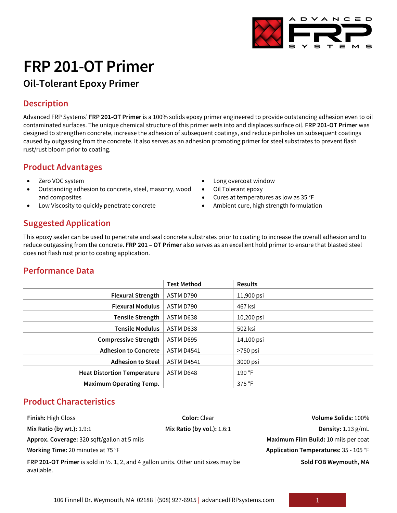# **FRP 201-OT Primer**

# **Oil-Tolerant Epoxy Primer**

### **Description**

Advanced FRP Systems' **FRP 201-OT Primer** is a 100% solids epoxy primer engineered to provide outstanding adhesion even to oil contaminated surfaces. The unique chemical structure of this primer wets into and displaces surface oil. **FRP 201-OT Primer** was designed to strengthen concrete, increase the adhesion of subsequent coatings, and reduce pinholes on subsequent coatings caused by outgassing from the concrete. It also serves as an adhesion promoting primer for steel substrates to prevent flash rust/rust bloom prior to coating.

#### **Product Advantages**

- Zero VOC system
- Outstanding adhesion to concrete, steel, masonry, wood and composites
- Low Viscosity to quickly penetrate concrete
- Long overcoat window
- Oil Tolerant epoxy
- Cures at temperatures as low as 35 °F
- Ambient cure, high strength formulation

## **Suggested Application**

This epoxy sealer can be used to penetrate and seal concrete substrates prior to coating to increase the overall adhesion and to reduce outgassing from the concrete. **FRP 201 – OT Primer** also serves as an excellent hold primer to ensure that blasted steel does not flash rust prior to coating application.

### **Performance Data**

|                                    | <b>Test Method</b> | <b>Results</b> |
|------------------------------------|--------------------|----------------|
| <b>Flexural Strength</b>           | ASTM D790          | 11,900 psi     |
| <b>Flexural Modulus</b>            | ASTM D790          | 467 ksi        |
| <b>Tensile Strength</b>            | ASTM D638          | 10,200 psi     |
| <b>Tensile Modulus</b>             | ASTM D638          | 502 ksi        |
| <b>Compressive Strength</b>        | ASTM D695          | 14,100 psi     |
| <b>Adhesion to Concrete</b>        | <b>ASTM D4541</b>  | >750 psi       |
| <b>Adhesion to Steel</b>           | <b>ASTM D4541</b>  | 3000 psi       |
| <b>Heat Distortion Temperature</b> | ASTM D648          | 190 °F         |
| <b>Maximum Operating Temp.</b>     |                    | 375 °F         |

### **Product Characteristics**

| <b>Finish: High Gloss</b>                                                                                           | <b>Color: Clear</b>        | Volume Solids: 100%                   |
|---------------------------------------------------------------------------------------------------------------------|----------------------------|---------------------------------------|
| Mix Ratio (by wt.): 1.9:1                                                                                           | Mix Ratio (by vol.): 1.6:1 | Density: $1.13$ g/mL                  |
| Approx. Coverage: 320 sqft/gallon at 5 mils                                                                         |                            | Maximum Film Build: 10 mils per coat  |
| Working Time: 20 minutes at 75 °F                                                                                   |                            | Application Temperatures: 35 - 105 °F |
| <b>FRP 201-OT Primer</b> is sold in $\frac{1}{2}$ , 1, 2, and 4 gallon units. Other unit sizes may be<br>available. |                            | Sold FOB Weymouth, MA                 |



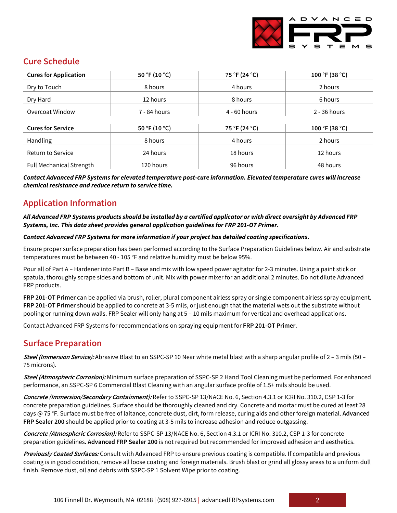

#### **Cure Schedule**

| <b>Cures for Application</b>    | 50 °F (10 °C) | 75 °F (24 °C)  | 100 °F (38 °C) |
|---------------------------------|---------------|----------------|----------------|
| Dry to Touch                    | 8 hours       | 4 hours        | 2 hours        |
| Dry Hard                        | 12 hours      | 8 hours        | 6 hours        |
| <b>Overcoat Window</b>          | 7 - 84 hours  | $4 - 60$ hours | $2 - 36$ hours |
| <b>Cures for Service</b>        | 50 °F (10 °C) | 75 °F (24 °C)  | 100 °F (38 °C) |
| Handling                        | 8 hours       | 4 hours        | 2 hours        |
| <b>Return to Service</b>        | 24 hours      | 18 hours       | 12 hours       |
| <b>Full Mechanical Strength</b> | 120 hours     | 96 hours       | 48 hours       |

*Contact Advanced FRP Systems for elevated temperature post-cure information. Elevated temperature cures will increase chemical resistance and reduce return to service time.*

#### **Application Information**

*All Advanced FRP Systems products should be installed by a certified applicator or with direct oversight by Advanced FRP Systems, Inc. This data sheet provides general application guidelines for FRP 201-OT Primer.*

#### *Contact Advanced FRP Systems for more information if your project has detailed coating specifications.*

Ensure proper surface preparation has been performed according to the Surface Preparation Guidelines below. Air and substrate temperatures must be between 40 - 105 °F and relative humidity must be below 95%.

Pour all of Part A – Hardener into Part B – Base and mix with low speed power agitator for 2-3 minutes. Using a paint stick or spatula, thoroughly scrape sides and bottom of unit. Mix with power mixer for an additional 2 minutes. Do not dilute Advanced FRP products.

**FRP 201-OT Primer** can be applied via brush, roller, plural component airless spray or single component airless spray equipment. **FRP 201-OT Primer** should be applied to concrete at 3-5 mils, or just enough that the material wets out the substrate without pooling or running down walls. FRP Sealer will only hang at 5 – 10 mils maximum for vertical and overhead applications.

Contact Advanced FRP Systems for recommendations on spraying equipment for **FRP 201-OT Primer**.

#### **Surface Preparation**

**Steel (Immersion Service):** Abrasive Blast to an SSPC-SP 10 Near white metal blast with a sharp angular profile of 2 – 3 mils (50 – 75 microns).

**Steel (Atmospheric Corrosion):** Minimum surface preparation of SSPC-SP 2 Hand Tool Cleaning must be performed. For enhanced performance, an SSPC-SP 6 Commercial Blast Cleaning with an angular surface profile of 1.5+ mils should be used.

**Concrete (Immersion/Secondary Containment):** Refer to SSPC-SP 13/NACE No. 6, Section 4.3.1 or ICRI No. 310.2, CSP 1-3 for concrete preparation guidelines. Surface should be thoroughly cleaned and dry. Concrete and mortar must be cured at least 28 days @ 75 °F. Surface must be free of laitance, concrete dust, dirt, form release, curing aids and other foreign material. **Advanced FRP Sealer 200** should be applied prior to coating at 3-5 mils to increase adhesion and reduce outgassing.

**Concrete (Atmospheric Corrosion):** Refer to SSPC-SP 13/NACE No. 6, Section 4.3.1 or ICRI No. 310.2, CSP 1-3 for concrete preparation guidelines. **Advanced FRP Sealer 200** is not required but recommended for improved adhesion and aesthetics.

**Previously Coated Surfaces:** Consult with Advanced FRP to ensure previous coating is compatible. If compatible and previous coating is in good condition, remove all loose coating and foreign materials. Brush blast or grind all glossy areas to a uniform dull finish. Remove dust, oil and debris with SSPC-SP 1 Solvent Wipe prior to coating.